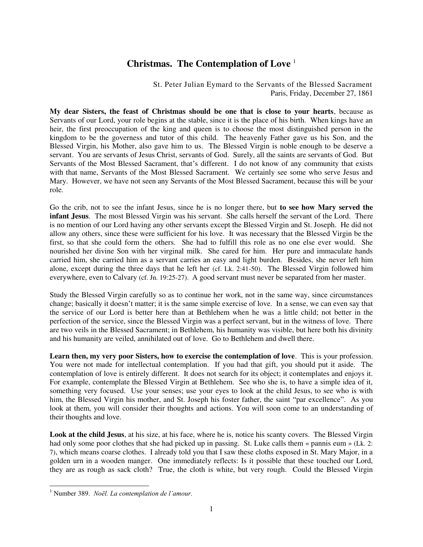## **Christmas. The Contemplation of Love** <sup>1</sup>

St. Peter Julian Eymard to the Servants of the Blessed Sacrament Paris, Friday, December 27, 1861

**My dear Sisters, the feast of Christmas should be one that is close to your hearts**, because as Servants of our Lord, your role begins at the stable, since it is the place of his birth. When kings have an heir, the first preoccupation of the king and queen is to choose the most distinguished person in the kingdom to be the governess and tutor of this child. The heavenly Father gave us his Son, and the Blessed Virgin, his Mother, also gave him to us. The Blessed Virgin is noble enough to be deserve a servant. You are servants of Jesus Christ, servants of God. Surely, all the saints are servants of God. But Servants of the Most Blessed Sacrament, that's different. I do not know of any community that exists with that name, Servants of the Most Blessed Sacrament. We certainly see some who serve Jesus and Mary. However, we have not seen any Servants of the Most Blessed Sacrament, because this will be your role.

Go the crib, not to see the infant Jesus, since he is no longer there, but **to see how Mary served the infant Jesus**. The most Blessed Virgin was his servant. She calls herself the servant of the Lord. There is no mention of our Lord having any other servants except the Blessed Virgin and St. Joseph. He did not allow any others, since these were sufficient for his love. It was necessary that the Blessed Virgin be the first, so that she could form the others. She had to fulfill this role as no one else ever would. She nourished her divine Son with her virginal milk. She cared for him. Her pure and immaculate hands carried him, she carried him as a servant carries an easy and light burden. Besides, she never left him alone, except during the three days that he left her (cf. Lk. 2:41-50). The Blessed Virgin followed him everywhere, even to Calvary (cf. Jn. 19:25-27). A good servant must never be separated from her master.

Study the Blessed Virgin carefully so as to continue her work, not in the same way, since circumstances change; basically it doesn't matter; it is the same simple exercise of love. In a sense, we can even say that the service of our Lord is better here than at Bethlehem when he was a little child; not better in the perfection of the service, since the Blessed Virgin was a perfect servant, but in the witness of love. There are two veils in the Blessed Sacrament; in Bethlehem, his humanity was visible, but here both his divinity and his humanity are veiled, annihilated out of love. Go to Bethlehem and dwell there.

**Learn then, my very poor Sisters, how to exercise the contemplation of love**. This is your profession. You were not made for intellectual contemplation. If you had that gift, you should put it aside. The contemplation of love is entirely different. It does not search for its object; it contemplates and enjoys it. For example, contemplate the Blessed Virgin at Bethlehem. See who she is, to have a simple idea of it, something very focused. Use your senses; use your eyes to look at the child Jesus, to see who is with him, the Blessed Virgin his mother, and St. Joseph his foster father, the saint "par excellence". As you look at them, you will consider their thoughts and actions. You will soon come to an understanding of their thoughts and love.

**Look at the child Jesus**, at his size, at his face, where he is, notice his scanty covers. The Blessed Virgin had only some poor clothes that she had picked up in passing. St. Luke calls them « pannis eum » (Lk. 2: 7), which means coarse clothes. I already told you that I saw these cloths exposed in St. Mary Major, in a golden urn in a wooden manger. One immediately reflects: Is it possible that these touched our Lord, they are as rough as sack cloth? True, the cloth is white, but very rough. Could the Blessed Virgin

 $\overline{a}$ 

<sup>1</sup> Number 389. *Noël. La contemplation de l'amour.*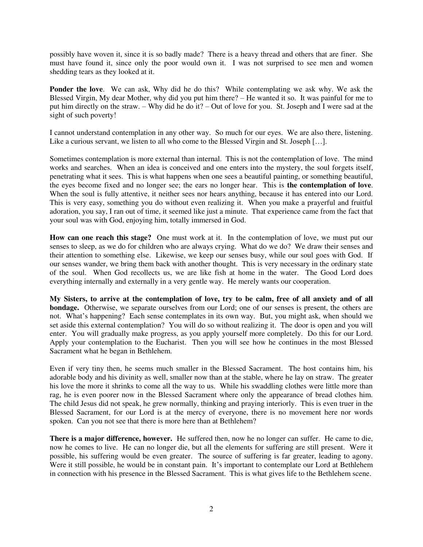possibly have woven it, since it is so badly made? There is a heavy thread and others that are finer. She must have found it, since only the poor would own it. I was not surprised to see men and women shedding tears as they looked at it.

**Ponder the love**. We can ask, Why did he do this? While contemplating we ask why. We ask the Blessed Virgin, My dear Mother, why did you put him there? – He wanted it so. It was painful for me to put him directly on the straw. – Why did he do it? – Out of love for you. St. Joseph and I were sad at the sight of such poverty!

I cannot understand contemplation in any other way. So much for our eyes. We are also there, listening. Like a curious servant, we listen to all who come to the Blessed Virgin and St. Joseph [...].

Sometimes contemplation is more external than internal. This is not the contemplation of love. The mind works and searches. When an idea is conceived and one enters into the mystery, the soul forgets itself, penetrating what it sees. This is what happens when one sees a beautiful painting, or something beautiful, the eyes become fixed and no longer see; the ears no longer hear. This is **the contemplation of love**. When the soul is fully attentive, it neither sees nor hears anything, because it has entered into our Lord. This is very easy, something you do without even realizing it. When you make a prayerful and fruitful adoration, you say, I ran out of time, it seemed like just a minute. That experience came from the fact that your soul was with God, enjoying him, totally immersed in God.

**How can one reach this stage?** One must work at it. In the contemplation of love, we must put our senses to sleep, as we do for children who are always crying. What do we do? We draw their senses and their attention to something else. Likewise, we keep our senses busy, while our soul goes with God. If our senses wander, we bring them back with another thought. This is very necessary in the ordinary state of the soul. When God recollects us, we are like fish at home in the water. The Good Lord does everything internally and externally in a very gentle way. He merely wants our cooperation.

**My Sisters, to arrive at the contemplation of love, try to be calm, free of all anxiety and of all bondage.** Otherwise, we separate ourselves from our Lord; one of our senses is present, the others are not. What's happening? Each sense contemplates in its own way. But, you might ask, when should we set aside this external contemplation? You will do so without realizing it. The door is open and you will enter. You will gradually make progress, as you apply yourself more completely. Do this for our Lord. Apply your contemplation to the Eucharist. Then you will see how he continues in the most Blessed Sacrament what he began in Bethlehem.

Even if very tiny then, he seems much smaller in the Blessed Sacrament. The host contains him, his adorable body and his divinity as well, smaller now than at the stable, where he lay on straw. The greater his love the more it shrinks to come all the way to us. While his swaddling clothes were little more than rag, he is even poorer now in the Blessed Sacrament where only the appearance of bread clothes him. The child Jesus did not speak, he grew normally, thinking and praying interiorly. This is even truer in the Blessed Sacrament, for our Lord is at the mercy of everyone, there is no movement here nor words spoken. Can you not see that there is more here than at Bethlehem?

**There is a major difference, however.** He suffered then, now he no longer can suffer. He came to die, now he comes to live. He can no longer die, but all the elements for suffering are still present. Were it possible, his suffering would be even greater. The source of suffering is far greater, leading to agony. Were it still possible, he would be in constant pain. It's important to contemplate our Lord at Bethlehem in connection with his presence in the Blessed Sacrament. This is what gives life to the Bethlehem scene.